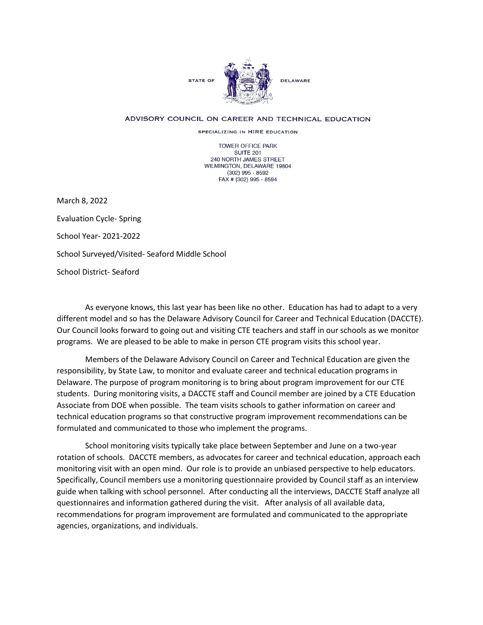

## ADVISORY COUNCIL ON CAREER AND TECHNICAL EDUCATION

SPECIALIZING IN HIRE EDUCATION

TOWER OFFICE PARK SUITE 201 240 NORTH JAMES STREET WILMINGTON, DELAWARE 19804 (302) 995 - 8592 FAX # (302) 995 - 8594

March 8, 2022 Evaluation Cycle- Spring School Year- 2021-2022 School Surveyed/Visited- Seaford Middle School School District- Seaford

 programs. We are pleased to be able to make in person CTE program visits this school year. As everyone knows, this last year has been like no other. Education has had to adapt to a very different model and so has the Delaware Advisory Council for Career and Technical Education (DACCTE). Our Council looks forward to going out and visiting CTE teachers and staff in our schools as we monitor

 responsibility, by State Law, to monitor and evaluate career and technical education programs in Members of the Delaware Advisory Council on Career and Technical Education are given the Delaware. The purpose of program monitoring is to bring about program improvement for our CTE students. During monitoring visits, a DACCTE staff and Council member are joined by a CTE Education Associate from DOE when possible. The team visits schools to gather information on career and technical education programs so that constructive program improvement recommendations can be formulated and communicated to those who implement the programs.

 rotation of schools. DACCTE members, as advocates for career and technical education, approach each agencies, organizations, and individuals. School monitoring visits typically take place between September and June on a two-year monitoring visit with an open mind. Our role is to provide an unbiased perspective to help educators. Specifically, Council members use a monitoring questionnaire provided by Council staff as an interview guide when talking with school personnel. After conducting all the interviews, DACCTE Staff analyze all questionnaires and information gathered during the visit. After analysis of all available data, recommendations for program improvement are formulated and communicated to the appropriate